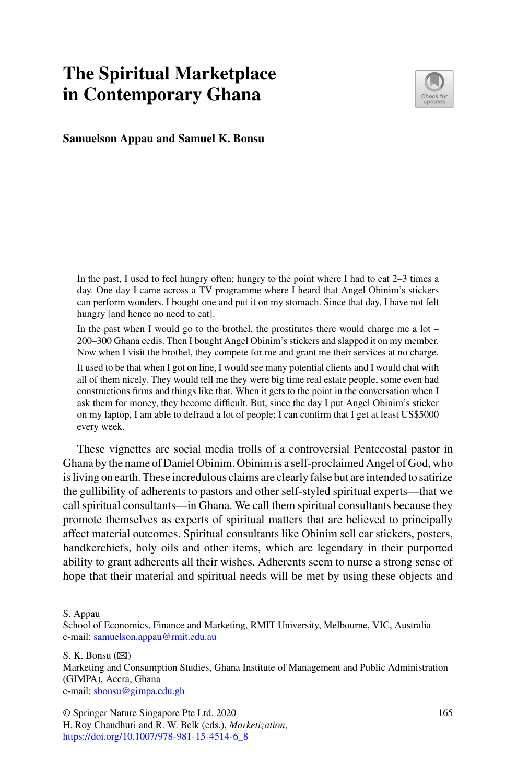# **The Spiritual Marketplace in Contemporary Ghana**



**Samuelson Appau and Samuel K. Bonsu**

In the past, I used to feel hungry often; hungry to the point where I had to eat 2–3 times a day. One day I came across a TV programme where I heard that Angel Obinim's stickers can perform wonders. I bought one and put it on my stomach. Since that day, I have not felt hungry [and hence no need to eat].

In the past when I would go to the brothel, the prostitutes there would charge me a  $\text{lot} -$ 200–300 Ghana cedis. Then I bought Angel Obinim's stickers and slapped it on my member. Now when I visit the brothel, they compete for me and grant me their services at no charge.

It used to be that when I got on line, I would see many potential clients and I would chat with all of them nicely. They would tell me they were big time real estate people, some even had constructions firms and things like that. When it gets to the point in the conversation when I ask them for money, they become difficult. But, since the day I put Angel Obinim's sticker on my laptop, I am able to defraud a lot of people; I can confirm that I get at least US\$5000 every week.

These vignettes are social media trolls of a controversial Pentecostal pastor in Ghana by the name of Daniel Obinim. Obinim is a self-proclaimed Angel of God, who is living on earth. These incredulous claims are clearly false but are intended to satirize the gullibility of adherents to pastors and other self-styled spiritual experts—that we call spiritual consultants—in Ghana. We call them spiritual consultants because they promote themselves as experts of spiritual matters that are believed to principally affect material outcomes. Spiritual consultants like Obinim sell car stickers, posters, handkerchiefs, holy oils and other items, which are legendary in their purported ability to grant adherents all their wishes. Adherents seem to nurse a strong sense of hope that their material and spiritual needs will be met by using these objects and

S. Appau

S. K. Bonsu  $(\boxtimes)$ 

H. Roy Chaudhuri and R. W. Belk (eds.), *Marketization*, [https://doi.org/10.1007/978-981-15-4514-6\\_8](https://doi.org/10.1007/978-981-15-4514-6_8)

School of Economics, Finance and Marketing, RMIT University, Melbourne, VIC, Australia e-mail: [samuelson.appau@rmit.edu.au](mailto:samuelson.appau@rmit.edu.au)

Marketing and Consumption Studies, Ghana Institute of Management and Public Administration (GIMPA), Accra, Ghana e-mail: [sbonsu@gimpa.edu.gh](mailto:sbonsu@gimpa.edu.gh)

<sup>©</sup> Springer Nature Singapore Pte Ltd. 2020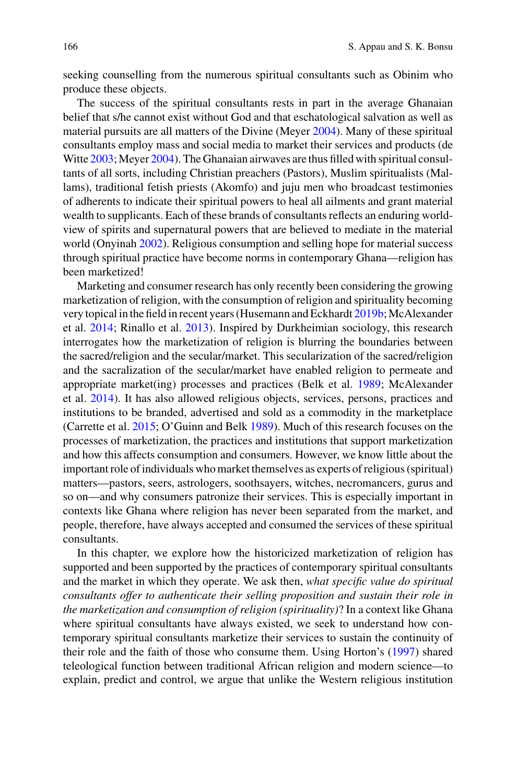seeking counselling from the numerous spiritual consultants such as Obinim who produce these objects.

The success of the spiritual consultants rests in part in the average Ghanaian belief that s/he cannot exist without God and that eschatological salvation as well as material pursuits are all matters of the Divine (Meyer [2004\)](#page-24-0). Many of these spiritual consultants employ mass and social media to market their services and products (de Witte [2003;](#page-23-0) Meyer [2004\)](#page-24-0). The Ghanaian airwaves are thus filled with spiritual consultants of all sorts, including Christian preachers (Pastors), Muslim spiritualists (Mallams), traditional fetish priests (Akomfo) and juju men who broadcast testimonies of adherents to indicate their spiritual powers to heal all ailments and grant material wealth to supplicants. Each of these brands of consultants reflects an enduring worldview of spirits and supernatural powers that are believed to mediate in the material world (Onyinah [2002\)](#page-25-0). Religious consumption and selling hope for material success through spiritual practice have become norms in contemporary Ghana—religion has been marketized!

Marketing and consumer research has only recently been considering the growing marketization of religion, with the consumption of religion and spirituality becoming very topical in the field in recent years (Husemann and Eckhardt [2019b;](#page-24-1) McAlexander et al. [2014;](#page-24-2) Rinallo et al. [2013\)](#page-25-1). Inspired by Durkheimian sociology, this research interrogates how the marketization of religion is blurring the boundaries between the sacred/religion and the secular/market. This secularization of the sacred/religion and the sacralization of the secular/market have enabled religion to permeate and appropriate market(ing) processes and practices (Belk et al. [1989;](#page-23-1) McAlexander et al. [2014\)](#page-24-2). It has also allowed religious objects, services, persons, practices and institutions to be branded, advertised and sold as a commodity in the marketplace (Carrette et al. [2015;](#page-23-2) O'Guinn and Belk [1989\)](#page-25-2). Much of this research focuses on the processes of marketization, the practices and institutions that support marketization and how this affects consumption and consumers. However, we know little about the important role of individuals who market themselves as experts of religious (spiritual) matters—pastors, seers, astrologers, soothsayers, witches, necromancers, gurus and so on—and why consumers patronize their services. This is especially important in contexts like Ghana where religion has never been separated from the market, and people, therefore, have always accepted and consumed the services of these spiritual consultants.

In this chapter, we explore how the historicized marketization of religion has supported and been supported by the practices of contemporary spiritual consultants and the market in which they operate. We ask then, *what specific value do spiritual consultants offer to authenticate their selling proposition and sustain their role in the marketization and consumption of religion (spirituality)*? In a context like Ghana where spiritual consultants have always existed, we seek to understand how contemporary spiritual consultants marketize their services to sustain the continuity of their role and the faith of those who consume them. Using Horton's [\(1997\)](#page-24-3) shared teleological function between traditional African religion and modern science—to explain, predict and control, we argue that unlike the Western religious institution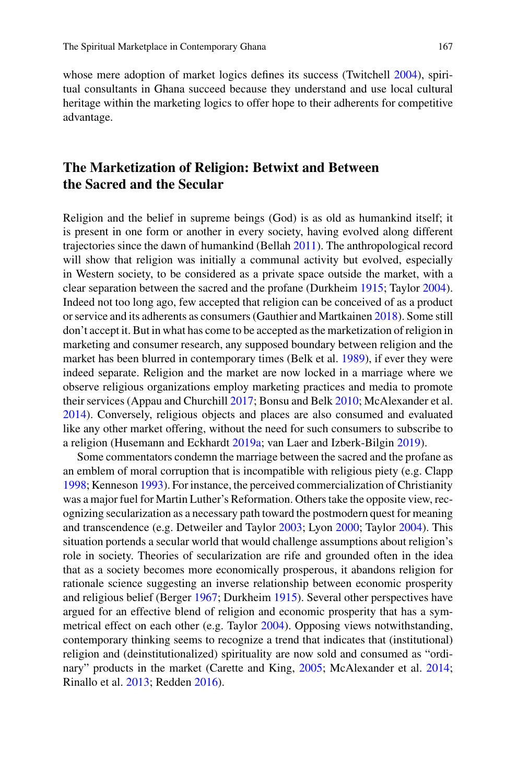whose mere adoption of market logics defines its success (Twitchell [2004\)](#page-25-3), spiritual consultants in Ghana succeed because they understand and use local cultural heritage within the marketing logics to offer hope to their adherents for competitive advantage.

# **The Marketization of Religion: Betwixt and Between the Sacred and the Secular**

Religion and the belief in supreme beings (God) is as old as humankind itself; it is present in one form or another in every society, having evolved along different trajectories since the dawn of humankind (Bellah [2011\)](#page-23-3). The anthropological record will show that religion was initially a communal activity but evolved, especially in Western society, to be considered as a private space outside the market, with a clear separation between the sacred and the profane (Durkheim [1915;](#page-23-4) Taylor [2004\)](#page-25-4). Indeed not too long ago, few accepted that religion can be conceived of as a product or service and its adherents as consumers (Gauthier and Martkainen [2018\)](#page-24-4). Some still don't accept it. But in what has come to be accepted as the marketization of religion in marketing and consumer research, any supposed boundary between religion and the market has been blurred in contemporary times (Belk et al. [1989\)](#page-23-1), if ever they were indeed separate. Religion and the market are now locked in a marriage where we observe religious organizations employ marketing practices and media to promote their services (Appau and Churchill [2017;](#page-23-5) Bonsu and Belk [2010;](#page-23-6) McAlexander et al. [2014\)](#page-24-2). Conversely, religious objects and places are also consumed and evaluated like any other market offering, without the need for such consumers to subscribe to a religion (Husemann and Eckhardt [2019a;](#page-24-5) van Laer and Izberk-Bilgin [2019\)](#page-25-5).

Some commentators condemn the marriage between the sacred and the profane as an emblem of moral corruption that is incompatible with religious piety (e.g. Clapp [1998;](#page-23-7) Kenneson [1993\)](#page-24-6). For instance, the perceived commercialization of Christianity was a major fuel for Martin Luther's Reformation. Others take the opposite view, recognizing secularization as a necessary path toward the postmodern quest for meaning and transcendence (e.g. Detweiler and Taylor [2003;](#page-23-8) Lyon [2000;](#page-24-7) Taylor [2004\)](#page-25-4). This situation portends a secular world that would challenge assumptions about religion's role in society. Theories of secularization are rife and grounded often in the idea that as a society becomes more economically prosperous, it abandons religion for rationale science suggesting an inverse relationship between economic prosperity and religious belief (Berger [1967;](#page-23-9) Durkheim [1915\)](#page-23-4). Several other perspectives have argued for an effective blend of religion and economic prosperity that has a symmetrical effect on each other (e.g. Taylor  $2004$ ). Opposing views notwithstanding, contemporary thinking seems to recognize a trend that indicates that (institutional) religion and (deinstitutionalized) spirituality are now sold and consumed as "ordi-nary" products in the market (Carette and King, [2005;](#page-23-10) McAlexander et al. [2014;](#page-24-2) Rinallo et al. [2013;](#page-25-1) Redden [2016\)](#page-25-6).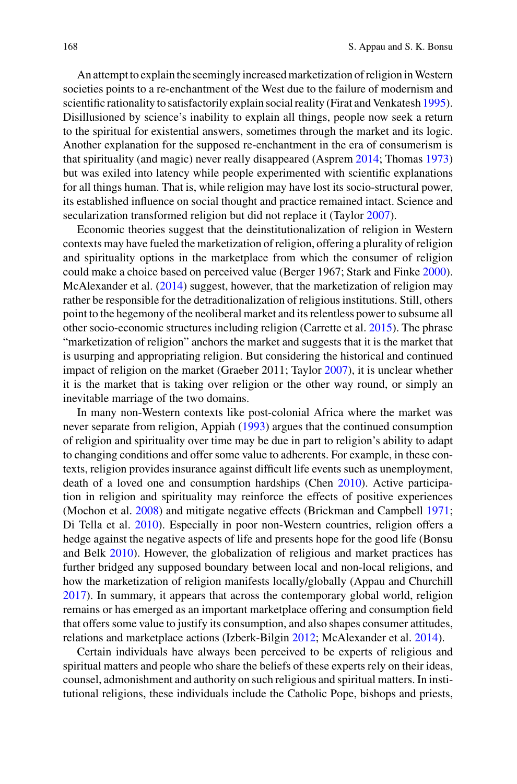An attempt to explain the seemingly increased marketization of religion inWestern societies points to a re-enchantment of the West due to the failure of modernism and scientific rationality to satisfactorily explain social reality (Firat and Venkatesh [1995\)](#page-24-8). Disillusioned by science's inability to explain all things, people now seek a return to the spiritual for existential answers, sometimes through the market and its logic. Another explanation for the supposed re-enchantment in the era of consumerism is that spirituality (and magic) never really disappeared (Asprem [2014;](#page-23-11) Thomas [1973\)](#page-25-7) but was exiled into latency while people experimented with scientific explanations for all things human. That is, while religion may have lost its socio-structural power, its established influence on social thought and practice remained intact. Science and secularization transformed religion but did not replace it (Taylor [2007\)](#page-25-8).

Economic theories suggest that the deinstitutionalization of religion in Western contexts may have fueled the marketization of religion, offering a plurality of religion and spirituality options in the marketplace from which the consumer of religion could make a choice based on perceived value (Berger 1967; Stark and Finke [2000\)](#page-25-9). McAlexander et al. [\(2014\)](#page-24-2) suggest, however, that the marketization of religion may rather be responsible for the detraditionalization of religious institutions. Still, others point to the hegemony of the neoliberal market and its relentless power to subsume all other socio-economic structures including religion (Carrette et al. [2015\)](#page-23-2). The phrase "marketization of religion" anchors the market and suggests that it is the market that is usurping and appropriating religion. But considering the historical and continued impact of religion on the market (Graeber 2011; Taylor [2007\)](#page-25-8), it is unclear whether it is the market that is taking over religion or the other way round, or simply an inevitable marriage of the two domains.

In many non-Western contexts like post-colonial Africa where the market was never separate from religion, Appiah [\(1993\)](#page-23-12) argues that the continued consumption of religion and spirituality over time may be due in part to religion's ability to adapt to changing conditions and offer some value to adherents. For example, in these contexts, religion provides insurance against difficult life events such as unemployment, death of a loved one and consumption hardships (Chen [2010\)](#page-23-13). Active participation in religion and spirituality may reinforce the effects of positive experiences (Mochon et al. [2008\)](#page-25-10) and mitigate negative effects (Brickman and Campbell [1971;](#page-23-14) Di Tella et al. [2010\)](#page-23-15). Especially in poor non-Western countries, religion offers a hedge against the negative aspects of life and presents hope for the good life (Bonsu and Belk [2010\)](#page-23-6). However, the globalization of religious and market practices has further bridged any supposed boundary between local and non-local religions, and how the marketization of religion manifests locally/globally (Appau and Churchill [2017\)](#page-23-5). In summary, it appears that across the contemporary global world, religion remains or has emerged as an important marketplace offering and consumption field that offers some value to justify its consumption, and also shapes consumer attitudes, relations and marketplace actions (Izberk-Bilgin [2012;](#page-24-9) McAlexander et al. [2014\)](#page-24-2).

Certain individuals have always been perceived to be experts of religious and spiritual matters and people who share the beliefs of these experts rely on their ideas, counsel, admonishment and authority on such religious and spiritual matters. In institutional religions, these individuals include the Catholic Pope, bishops and priests,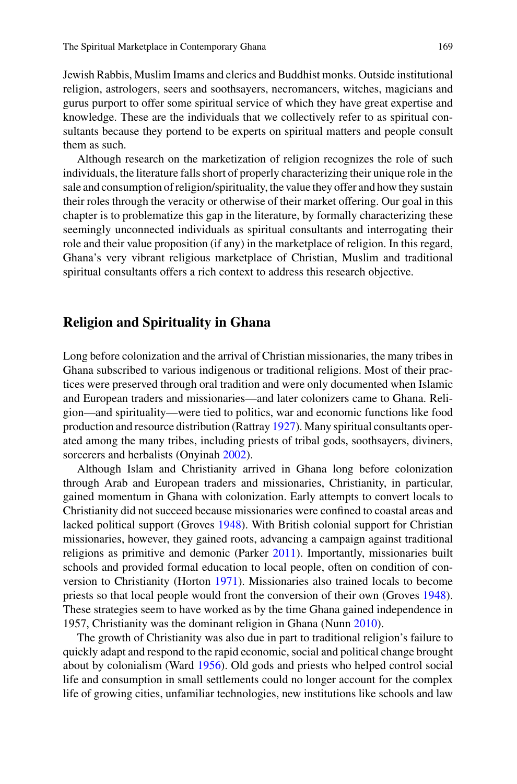Jewish Rabbis, Muslim Imams and clerics and Buddhist monks. Outside institutional religion, astrologers, seers and soothsayers, necromancers, witches, magicians and gurus purport to offer some spiritual service of which they have great expertise and knowledge. These are the individuals that we collectively refer to as spiritual consultants because they portend to be experts on spiritual matters and people consult them as such.

Although research on the marketization of religion recognizes the role of such individuals, the literature falls short of properly characterizing their unique role in the sale and consumption of religion/spirituality, the value they offer and how they sustain their roles through the veracity or otherwise of their market offering. Our goal in this chapter is to problematize this gap in the literature, by formally characterizing these seemingly unconnected individuals as spiritual consultants and interrogating their role and their value proposition (if any) in the marketplace of religion. In this regard, Ghana's very vibrant religious marketplace of Christian, Muslim and traditional spiritual consultants offers a rich context to address this research objective.

# **Religion and Spirituality in Ghana**

Long before colonization and the arrival of Christian missionaries, the many tribes in Ghana subscribed to various indigenous or traditional religions. Most of their practices were preserved through oral tradition and were only documented when Islamic and European traders and missionaries—and later colonizers came to Ghana. Religion—and spirituality—were tied to politics, war and economic functions like food production and resource distribution (Rattray [1927\)](#page-25-11). Many spiritual consultants operated among the many tribes, including priests of tribal gods, soothsayers, diviners, sorcerers and herbalists (Onyinah [2002\)](#page-25-0).

Although Islam and Christianity arrived in Ghana long before colonization through Arab and European traders and missionaries, Christianity, in particular, gained momentum in Ghana with colonization. Early attempts to convert locals to Christianity did not succeed because missionaries were confined to coastal areas and lacked political support (Groves [1948\)](#page-24-10). With British colonial support for Christian missionaries, however, they gained roots, advancing a campaign against traditional religions as primitive and demonic (Parker [2011\)](#page-25-12). Importantly, missionaries built schools and provided formal education to local people, often on condition of conversion to Christianity (Horton [1971\)](#page-24-11). Missionaries also trained locals to become priests so that local people would front the conversion of their own (Groves [1948\)](#page-24-10). These strategies seem to have worked as by the time Ghana gained independence in 1957, Christianity was the dominant religion in Ghana (Nunn [2010\)](#page-25-13).

The growth of Christianity was also due in part to traditional religion's failure to quickly adapt and respond to the rapid economic, social and political change brought about by colonialism (Ward [1956\)](#page-26-0). Old gods and priests who helped control social life and consumption in small settlements could no longer account for the complex life of growing cities, unfamiliar technologies, new institutions like schools and law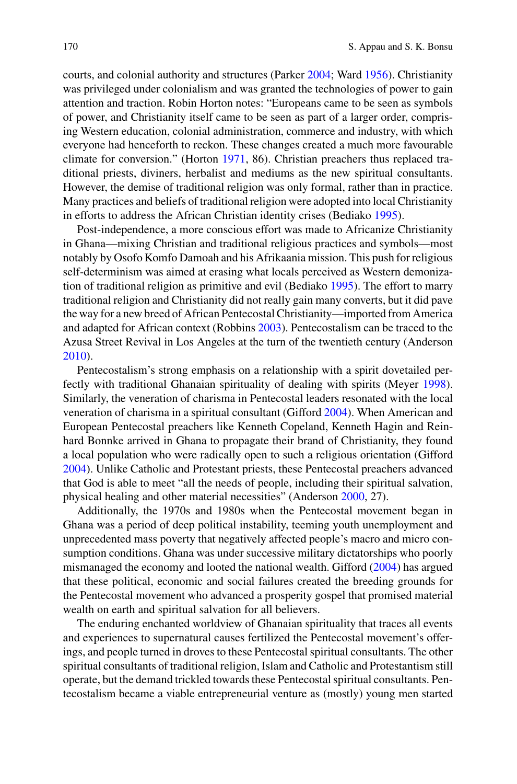courts, and colonial authority and structures (Parker [2004;](#page-25-14) Ward [1956\)](#page-26-0). Christianity was privileged under colonialism and was granted the technologies of power to gain attention and traction. Robin Horton notes: "Europeans came to be seen as symbols of power, and Christianity itself came to be seen as part of a larger order, comprising Western education, colonial administration, commerce and industry, with which everyone had henceforth to reckon. These changes created a much more favourable climate for conversion." (Horton [1971,](#page-24-11) 86). Christian preachers thus replaced traditional priests, diviners, herbalist and mediums as the new spiritual consultants. However, the demise of traditional religion was only formal, rather than in practice. Many practices and beliefs of traditional religion were adopted into local Christianity in efforts to address the African Christian identity crises (Bediako [1995\)](#page-23-16).

Post-independence, a more conscious effort was made to Africanize Christianity in Ghana—mixing Christian and traditional religious practices and symbols—most notably by Osofo Komfo Damoah and his Afrikaania mission. This push for religious self-determinism was aimed at erasing what locals perceived as Western demonization of traditional religion as primitive and evil (Bediako [1995\)](#page-23-16). The effort to marry traditional religion and Christianity did not really gain many converts, but it did pave the way for a new breed of African Pentecostal Christianity—imported from America and adapted for African context (Robbins [2003\)](#page-25-15). Pentecostalism can be traced to the Azusa Street Revival in Los Angeles at the turn of the twentieth century (Anderson [2010\)](#page-23-17).

Pentecostalism's strong emphasis on a relationship with a spirit dovetailed perfectly with traditional Ghanaian spirituality of dealing with spirits (Meyer [1998\)](#page-24-12). Similarly, the veneration of charisma in Pentecostal leaders resonated with the local veneration of charisma in a spiritual consultant (Gifford [2004\)](#page-24-13). When American and European Pentecostal preachers like Kenneth Copeland, Kenneth Hagin and Reinhard Bonnke arrived in Ghana to propagate their brand of Christianity, they found a local population who were radically open to such a religious orientation (Gifford [2004\)](#page-24-13). Unlike Catholic and Protestant priests, these Pentecostal preachers advanced that God is able to meet "all the needs of people, including their spiritual salvation, physical healing and other material necessities" (Anderson [2000,](#page-23-18) 27).

Additionally, the 1970s and 1980s when the Pentecostal movement began in Ghana was a period of deep political instability, teeming youth unemployment and unprecedented mass poverty that negatively affected people's macro and micro consumption conditions. Ghana was under successive military dictatorships who poorly mismanaged the economy and looted the national wealth. Gifford [\(2004\)](#page-24-13) has argued that these political, economic and social failures created the breeding grounds for the Pentecostal movement who advanced a prosperity gospel that promised material wealth on earth and spiritual salvation for all believers.

The enduring enchanted worldview of Ghanaian spirituality that traces all events and experiences to supernatural causes fertilized the Pentecostal movement's offerings, and people turned in droves to these Pentecostal spiritual consultants. The other spiritual consultants of traditional religion, Islam and Catholic and Protestantism still operate, but the demand trickled towards these Pentecostal spiritual consultants. Pentecostalism became a viable entrepreneurial venture as (mostly) young men started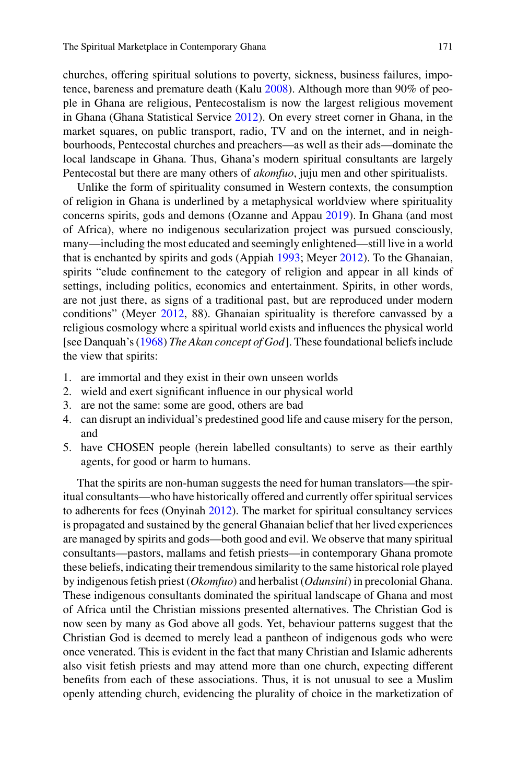churches, offering spiritual solutions to poverty, sickness, business failures, impotence, bareness and premature death (Kalu [2008\)](#page-24-14). Although more than 90% of people in Ghana are religious, Pentecostalism is now the largest religious movement in Ghana (Ghana Statistical Service [2012\)](#page-24-15). On every street corner in Ghana, in the market squares, on public transport, radio, TV and on the internet, and in neighbourhoods, Pentecostal churches and preachers—as well as their ads—dominate the local landscape in Ghana. Thus, Ghana's modern spiritual consultants are largely Pentecostal but there are many others of *akomfuo*, juju men and other spiritualists.

Unlike the form of spirituality consumed in Western contexts, the consumption of religion in Ghana is underlined by a metaphysical worldview where spirituality concerns spirits, gods and demons (Ozanne and Appau [2019\)](#page-25-16). In Ghana (and most of Africa), where no indigenous secularization project was pursued consciously, many—including the most educated and seemingly enlightened—still live in a world that is enchanted by spirits and gods (Appiah [1993;](#page-23-12) Meyer [2012\)](#page-24-16). To the Ghanaian, spirits "elude confinement to the category of religion and appear in all kinds of settings, including politics, economics and entertainment. Spirits, in other words, are not just there, as signs of a traditional past, but are reproduced under modern conditions" (Meyer [2012,](#page-24-16) 88). Ghanaian spirituality is therefore canvassed by a religious cosmology where a spiritual world exists and influences the physical world [see Danquah's [\(1968\)](#page-23-19) *The Akan concept of God*]. These foundational beliefs include the view that spirits:

- 1. are immortal and they exist in their own unseen worlds
- 2. wield and exert significant influence in our physical world
- 3. are not the same: some are good, others are bad
- 4. can disrupt an individual's predestined good life and cause misery for the person, and
- 5. have CHOSEN people (herein labelled consultants) to serve as their earthly agents, for good or harm to humans.

That the spirits are non-human suggests the need for human translators—the spiritual consultants—who have historically offered and currently offer spiritual services to adherents for fees (Onyinah [2012\)](#page-25-17). The market for spiritual consultancy services is propagated and sustained by the general Ghanaian belief that her lived experiences are managed by spirits and gods—both good and evil. We observe that many spiritual consultants—pastors, mallams and fetish priests—in contemporary Ghana promote these beliefs, indicating their tremendous similarity to the same historical role played by indigenous fetish priest (*Okomfuo*) and herbalist (*Odunsini*) in precolonial Ghana. These indigenous consultants dominated the spiritual landscape of Ghana and most of Africa until the Christian missions presented alternatives. The Christian God is now seen by many as God above all gods. Yet, behaviour patterns suggest that the Christian God is deemed to merely lead a pantheon of indigenous gods who were once venerated. This is evident in the fact that many Christian and Islamic adherents also visit fetish priests and may attend more than one church, expecting different benefits from each of these associations. Thus, it is not unusual to see a Muslim openly attending church, evidencing the plurality of choice in the marketization of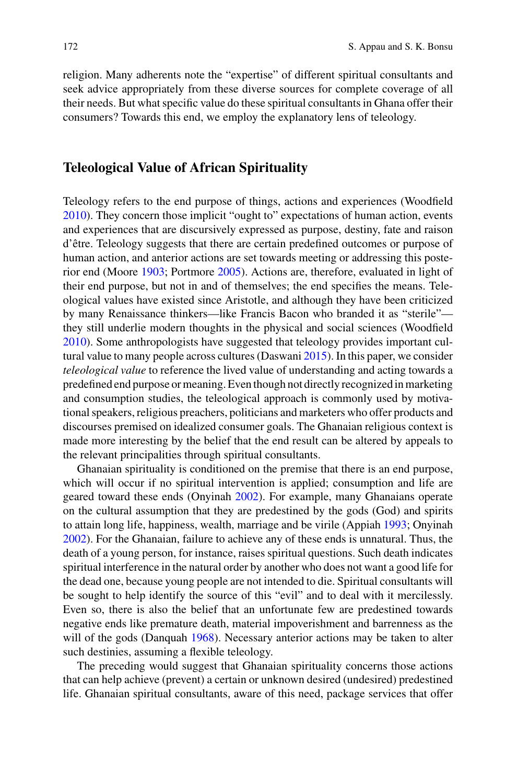religion. Many adherents note the "expertise" of different spiritual consultants and seek advice appropriately from these diverse sources for complete coverage of all their needs. But what specific value do these spiritual consultants in Ghana offer their consumers? Towards this end, we employ the explanatory lens of teleology.

#### **Teleological Value of African Spirituality**

Teleology refers to the end purpose of things, actions and experiences (Woodfield [2010\)](#page-26-1). They concern those implicit "ought to" expectations of human action, events and experiences that are discursively expressed as purpose, destiny, fate and raison d'être. Teleology suggests that there are certain predefined outcomes or purpose of human action, and anterior actions are set towards meeting or addressing this posterior end (Moore [1903;](#page-25-18) Portmore [2005\)](#page-25-19). Actions are, therefore, evaluated in light of their end purpose, but not in and of themselves; the end specifies the means. Teleological values have existed since Aristotle, and although they have been criticized by many Renaissance thinkers—like Francis Bacon who branded it as "sterile" they still underlie modern thoughts in the physical and social sciences (Woodfield [2010\)](#page-26-1). Some anthropologists have suggested that teleology provides important cultural value to many people across cultures (Daswani [2015\)](#page-23-20). In this paper, we consider *teleological value* to reference the lived value of understanding and acting towards a predefined end purpose or meaning. Even though not directly recognized in marketing and consumption studies, the teleological approach is commonly used by motivational speakers, religious preachers, politicians and marketers who offer products and discourses premised on idealized consumer goals. The Ghanaian religious context is made more interesting by the belief that the end result can be altered by appeals to the relevant principalities through spiritual consultants.

Ghanaian spirituality is conditioned on the premise that there is an end purpose, which will occur if no spiritual intervention is applied; consumption and life are geared toward these ends (Onyinah [2002\)](#page-25-0). For example, many Ghanaians operate on the cultural assumption that they are predestined by the gods (God) and spirits to attain long life, happiness, wealth, marriage and be virile (Appiah [1993;](#page-23-12) Onyinah [2002\)](#page-25-0). For the Ghanaian, failure to achieve any of these ends is unnatural. Thus, the death of a young person, for instance, raises spiritual questions. Such death indicates spiritual interference in the natural order by another who does not want a good life for the dead one, because young people are not intended to die. Spiritual consultants will be sought to help identify the source of this "evil" and to deal with it mercilessly. Even so, there is also the belief that an unfortunate few are predestined towards negative ends like premature death, material impoverishment and barrenness as the will of the gods (Danquah [1968\)](#page-23-19). Necessary anterior actions may be taken to alter such destinies, assuming a flexible teleology.

The preceding would suggest that Ghanaian spirituality concerns those actions that can help achieve (prevent) a certain or unknown desired (undesired) predestined life. Ghanaian spiritual consultants, aware of this need, package services that offer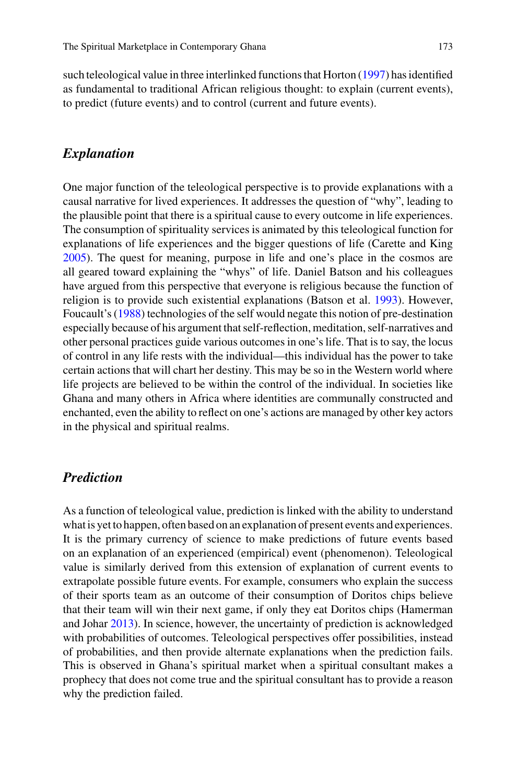such teleological value in three interlinked functions that Horton [\(1997\)](#page-24-3) has identified as fundamental to traditional African religious thought: to explain (current events), to predict (future events) and to control (current and future events).

#### *Explanation*

One major function of the teleological perspective is to provide explanations with a causal narrative for lived experiences. It addresses the question of "why", leading to the plausible point that there is a spiritual cause to every outcome in life experiences. The consumption of spirituality services is animated by this teleological function for explanations of life experiences and the bigger questions of life (Carette and King [2005\)](#page-23-10). The quest for meaning, purpose in life and one's place in the cosmos are all geared toward explaining the "whys" of life. Daniel Batson and his colleagues have argued from this perspective that everyone is religious because the function of religion is to provide such existential explanations (Batson et al. [1993\)](#page-23-21). However, Foucault's [\(1988\)](#page-24-17) technologies of the self would negate this notion of pre-destination especially because of his argument that self-reflection, meditation, self-narratives and other personal practices guide various outcomes in one's life. That is to say, the locus of control in any life rests with the individual—this individual has the power to take certain actions that will chart her destiny. This may be so in the Western world where life projects are believed to be within the control of the individual. In societies like Ghana and many others in Africa where identities are communally constructed and enchanted, even the ability to reflect on one's actions are managed by other key actors in the physical and spiritual realms.

# *Prediction*

As a function of teleological value, prediction is linked with the ability to understand what is yet to happen, often based on an explanation of present events and experiences. It is the primary currency of science to make predictions of future events based on an explanation of an experienced (empirical) event (phenomenon). Teleological value is similarly derived from this extension of explanation of current events to extrapolate possible future events. For example, consumers who explain the success of their sports team as an outcome of their consumption of Doritos chips believe that their team will win their next game, if only they eat Doritos chips (Hamerman and Johar [2013\)](#page-24-18). In science, however, the uncertainty of prediction is acknowledged with probabilities of outcomes. Teleological perspectives offer possibilities, instead of probabilities, and then provide alternate explanations when the prediction fails. This is observed in Ghana's spiritual market when a spiritual consultant makes a prophecy that does not come true and the spiritual consultant has to provide a reason why the prediction failed.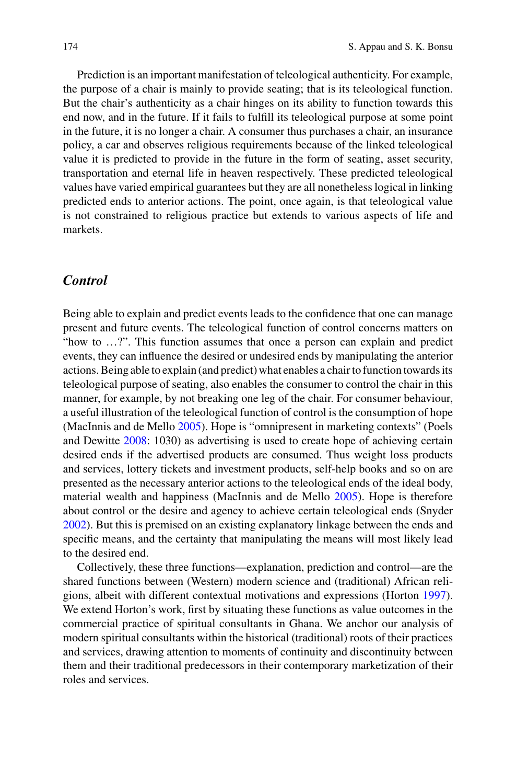Prediction is an important manifestation of teleological authenticity. For example, the purpose of a chair is mainly to provide seating; that is its teleological function. But the chair's authenticity as a chair hinges on its ability to function towards this end now, and in the future. If it fails to fulfill its teleological purpose at some point in the future, it is no longer a chair. A consumer thus purchases a chair, an insurance policy, a car and observes religious requirements because of the linked teleological value it is predicted to provide in the future in the form of seating, asset security, transportation and eternal life in heaven respectively. These predicted teleological values have varied empirical guarantees but they are all nonetheless logical in linking predicted ends to anterior actions. The point, once again, is that teleological value is not constrained to religious practice but extends to various aspects of life and markets.

## *Control*

Being able to explain and predict events leads to the confidence that one can manage present and future events. The teleological function of control concerns matters on "how to …?". This function assumes that once a person can explain and predict events, they can influence the desired or undesired ends by manipulating the anterior actions. Being able to explain (and predict) what enables a chair to function towards its teleological purpose of seating, also enables the consumer to control the chair in this manner, for example, by not breaking one leg of the chair. For consumer behaviour, a useful illustration of the teleological function of control is the consumption of hope (MacInnis and de Mello [2005\)](#page-24-19). Hope is "omnipresent in marketing contexts" (Poels and Dewitte [2008:](#page-25-20) 1030) as advertising is used to create hope of achieving certain desired ends if the advertised products are consumed. Thus weight loss products and services, lottery tickets and investment products, self-help books and so on are presented as the necessary anterior actions to the teleological ends of the ideal body, material wealth and happiness (MacInnis and de Mello [2005\)](#page-24-19). Hope is therefore about control or the desire and agency to achieve certain teleological ends (Snyder [2002\)](#page-25-21). But this is premised on an existing explanatory linkage between the ends and specific means, and the certainty that manipulating the means will most likely lead to the desired end.

Collectively, these three functions—explanation, prediction and control—are the shared functions between (Western) modern science and (traditional) African religions, albeit with different contextual motivations and expressions (Horton [1997\)](#page-24-3). We extend Horton's work, first by situating these functions as value outcomes in the commercial practice of spiritual consultants in Ghana. We anchor our analysis of modern spiritual consultants within the historical (traditional) roots of their practices and services, drawing attention to moments of continuity and discontinuity between them and their traditional predecessors in their contemporary marketization of their roles and services.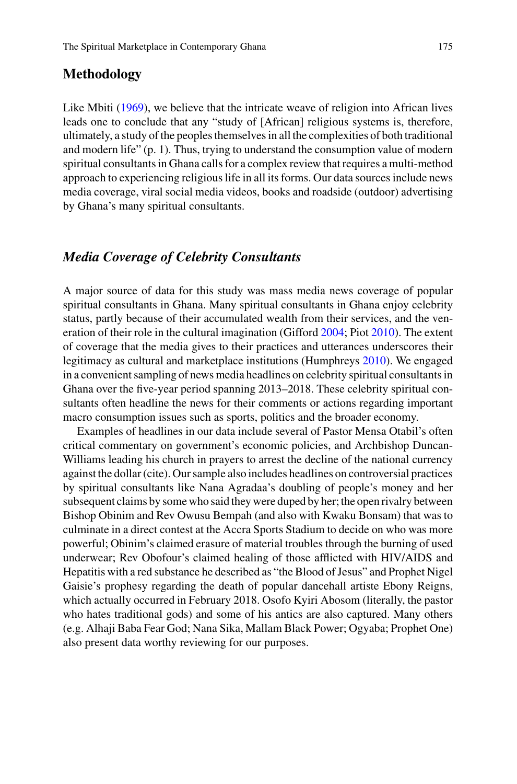# **Methodology**

Like Mbiti [\(1969\)](#page-24-20), we believe that the intricate weave of religion into African lives leads one to conclude that any "study of [African] religious systems is, therefore, ultimately, a study of the peoples themselves in all the complexities of both traditional and modern life" (p. 1). Thus, trying to understand the consumption value of modern spiritual consultants in Ghana calls for a complex review that requires a multi-method approach to experiencing religious life in all its forms. Our data sources include news media coverage, viral social media videos, books and roadside (outdoor) advertising by Ghana's many spiritual consultants.

# *Media Coverage of Celebrity Consultants*

A major source of data for this study was mass media news coverage of popular spiritual consultants in Ghana. Many spiritual consultants in Ghana enjoy celebrity status, partly because of their accumulated wealth from their services, and the veneration of their role in the cultural imagination (Gifford [2004;](#page-24-13) Piot [2010\)](#page-25-22). The extent of coverage that the media gives to their practices and utterances underscores their legitimacy as cultural and marketplace institutions (Humphreys [2010\)](#page-24-21). We engaged in a convenient sampling of news media headlines on celebrity spiritual consultants in Ghana over the five-year period spanning 2013–2018. These celebrity spiritual consultants often headline the news for their comments or actions regarding important macro consumption issues such as sports, politics and the broader economy.

Examples of headlines in our data include several of Pastor Mensa Otabil's often critical commentary on government's economic policies, and Archbishop Duncan-Williams leading his church in prayers to arrest the decline of the national currency against the dollar (cite). Our sample also includes headlines on controversial practices by spiritual consultants like Nana Agradaa's doubling of people's money and her subsequent claims by some who said they were duped by her; the open rivalry between Bishop Obinim and Rev Owusu Bempah (and also with Kwaku Bonsam) that was to culminate in a direct contest at the Accra Sports Stadium to decide on who was more powerful; Obinim's claimed erasure of material troubles through the burning of used underwear; Rev Obofour's claimed healing of those afflicted with HIV/AIDS and Hepatitis with a red substance he described as "the Blood of Jesus" and Prophet Nigel Gaisie's prophesy regarding the death of popular dancehall artiste Ebony Reigns, which actually occurred in February 2018. Osofo Kyiri Abosom (literally, the pastor who hates traditional gods) and some of his antics are also captured. Many others (e.g. Alhaji Baba Fear God; Nana Sika, Mallam Black Power; Ogyaba; Prophet One) also present data worthy reviewing for our purposes.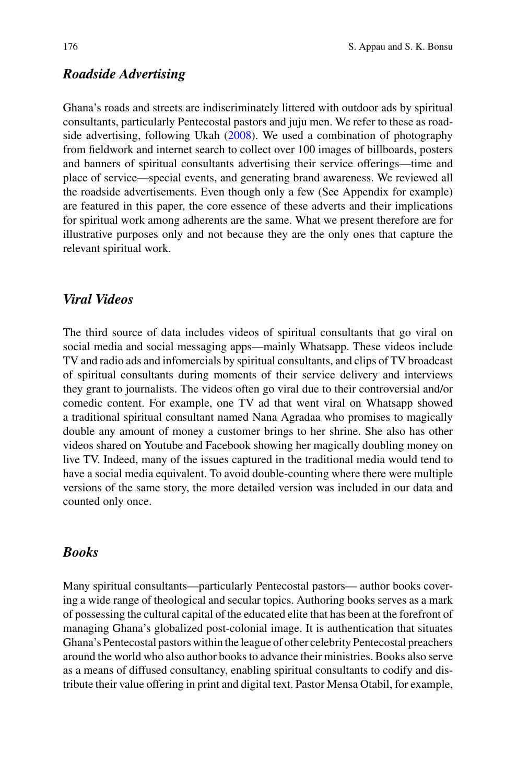## *Roadside Advertising*

Ghana's roads and streets are indiscriminately littered with outdoor ads by spiritual consultants, particularly Pentecostal pastors and juju men. We refer to these as roadside advertising, following Ukah [\(2008\)](#page-25-23). We used a combination of photography from fieldwork and internet search to collect over 100 images of billboards, posters and banners of spiritual consultants advertising their service offerings—time and place of service—special events, and generating brand awareness. We reviewed all the roadside advertisements. Even though only a few (See Appendix for example) are featured in this paper, the core essence of these adverts and their implications for spiritual work among adherents are the same. What we present therefore are for illustrative purposes only and not because they are the only ones that capture the relevant spiritual work.

#### *Viral Videos*

The third source of data includes videos of spiritual consultants that go viral on social media and social messaging apps—mainly Whatsapp. These videos include TV and radio ads and infomercials by spiritual consultants, and clips of TV broadcast of spiritual consultants during moments of their service delivery and interviews they grant to journalists. The videos often go viral due to their controversial and/or comedic content. For example, one TV ad that went viral on Whatsapp showed a traditional spiritual consultant named Nana Agradaa who promises to magically double any amount of money a customer brings to her shrine. She also has other videos shared on Youtube and Facebook showing her magically doubling money on live TV. Indeed, many of the issues captured in the traditional media would tend to have a social media equivalent. To avoid double-counting where there were multiple versions of the same story, the more detailed version was included in our data and counted only once.

## *Books*

Many spiritual consultants—particularly Pentecostal pastors— author books covering a wide range of theological and secular topics. Authoring books serves as a mark of possessing the cultural capital of the educated elite that has been at the forefront of managing Ghana's globalized post-colonial image. It is authentication that situates Ghana's Pentecostal pastors within the league of other celebrity Pentecostal preachers around the world who also author books to advance their ministries. Books also serve as a means of diffused consultancy, enabling spiritual consultants to codify and distribute their value offering in print and digital text. Pastor Mensa Otabil, for example,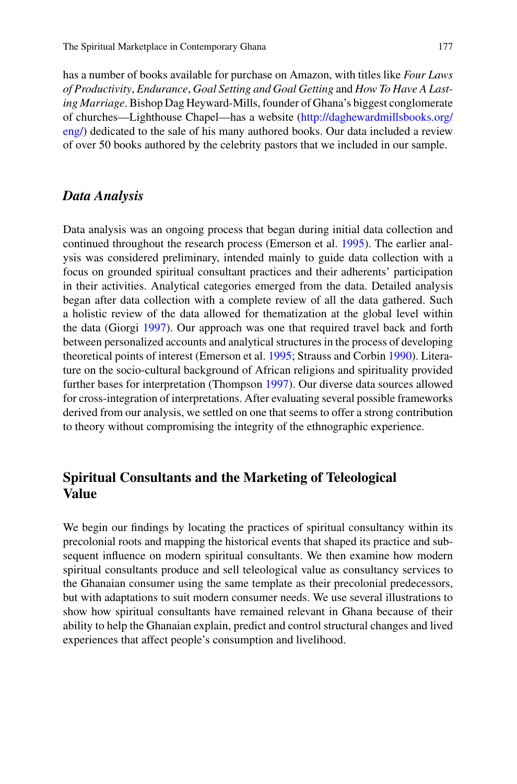has a number of books available for purchase on Amazon, with titles like *Four Laws of Productivity*, *Endurance*, *Goal Setting and Goal Getting* and *How To Have A Lasting Marriage*. Bishop Dag Heyward-Mills, founder of Ghana's biggest conglomerate of churches—Lighthouse Chapel—has a website (http://daghewardmillsbooks.org/ [eng/\) dedicated to the sale of his many authored books. Our data included a review](http://daghewardmillsbooks.org/eng/) of over 50 books authored by the celebrity pastors that we included in our sample.

#### *Data Analysis*

Data analysis was an ongoing process that began during initial data collection and continued throughout the research process (Emerson et al. [1995\)](#page-23-22). The earlier analysis was considered preliminary, intended mainly to guide data collection with a focus on grounded spiritual consultant practices and their adherents' participation in their activities. Analytical categories emerged from the data. Detailed analysis began after data collection with a complete review of all the data gathered. Such a holistic review of the data allowed for thematization at the global level within the data (Giorgi [1997\)](#page-24-22). Our approach was one that required travel back and forth between personalized accounts and analytical structures in the process of developing theoretical points of interest (Emerson et al. [1995;](#page-23-22) Strauss and Corbin [1990\)](#page-25-24). Literature on the socio-cultural background of African religions and spirituality provided further bases for interpretation (Thompson [1997\)](#page-25-25). Our diverse data sources allowed for cross-integration of interpretations. After evaluating several possible frameworks derived from our analysis, we settled on one that seems to offer a strong contribution to theory without compromising the integrity of the ethnographic experience.

# **Spiritual Consultants and the Marketing of Teleological Value**

We begin our findings by locating the practices of spiritual consultancy within its precolonial roots and mapping the historical events that shaped its practice and subsequent influence on modern spiritual consultants. We then examine how modern spiritual consultants produce and sell teleological value as consultancy services to the Ghanaian consumer using the same template as their precolonial predecessors, but with adaptations to suit modern consumer needs. We use several illustrations to show how spiritual consultants have remained relevant in Ghana because of their ability to help the Ghanaian explain, predict and control structural changes and lived experiences that affect people's consumption and livelihood.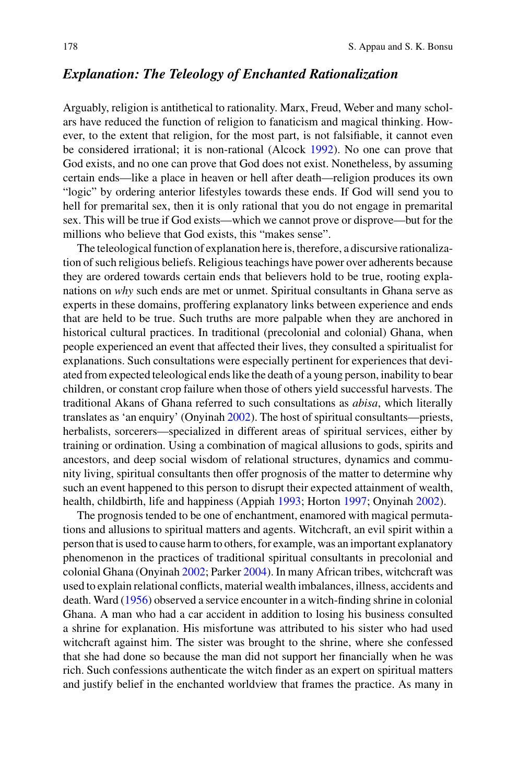# *Explanation: The Teleology of Enchanted Rationalization*

Arguably, religion is antithetical to rationality. Marx, Freud, Weber and many scholars have reduced the function of religion to fanaticism and magical thinking. However, to the extent that religion, for the most part, is not falsifiable, it cannot even be considered irrational; it is non-rational (Alcock [1992\)](#page-23-23). No one can prove that God exists, and no one can prove that God does not exist. Nonetheless, by assuming certain ends—like a place in heaven or hell after death—religion produces its own "logic" by ordering anterior lifestyles towards these ends. If God will send you to hell for premarital sex, then it is only rational that you do not engage in premarital sex. This will be true if God exists—which we cannot prove or disprove—but for the millions who believe that God exists, this "makes sense".

The teleological function of explanation here is, therefore, a discursive rationalization of such religious beliefs. Religious teachings have power over adherents because they are ordered towards certain ends that believers hold to be true, rooting explanations on *why* such ends are met or unmet. Spiritual consultants in Ghana serve as experts in these domains, proffering explanatory links between experience and ends that are held to be true. Such truths are more palpable when they are anchored in historical cultural practices. In traditional (precolonial and colonial) Ghana, when people experienced an event that affected their lives, they consulted a spiritualist for explanations. Such consultations were especially pertinent for experiences that deviated from expected teleological ends like the death of a young person, inability to bear children, or constant crop failure when those of others yield successful harvests. The traditional Akans of Ghana referred to such consultations as *abisa*, which literally translates as 'an enquiry' (Onyinah [2002\)](#page-25-0). The host of spiritual consultants—priests, herbalists, sorcerers—specialized in different areas of spiritual services, either by training or ordination. Using a combination of magical allusions to gods, spirits and ancestors, and deep social wisdom of relational structures, dynamics and community living, spiritual consultants then offer prognosis of the matter to determine why such an event happened to this person to disrupt their expected attainment of wealth, health, childbirth, life and happiness (Appiah [1993;](#page-23-12) Horton [1997;](#page-24-3) Onyinah [2002\)](#page-25-0).

The prognosis tended to be one of enchantment, enamored with magical permutations and allusions to spiritual matters and agents. Witchcraft, an evil spirit within a person that is used to cause harm to others, for example, was an important explanatory phenomenon in the practices of traditional spiritual consultants in precolonial and colonial Ghana (Onyinah [2002;](#page-25-0) Parker [2004\)](#page-25-14). In many African tribes, witchcraft was used to explain relational conflicts, material wealth imbalances, illness, accidents and death. Ward [\(1956\)](#page-26-0) observed a service encounter in a witch-finding shrine in colonial Ghana. A man who had a car accident in addition to losing his business consulted a shrine for explanation. His misfortune was attributed to his sister who had used witchcraft against him. The sister was brought to the shrine, where she confessed that she had done so because the man did not support her financially when he was rich. Such confessions authenticate the witch finder as an expert on spiritual matters and justify belief in the enchanted worldview that frames the practice. As many in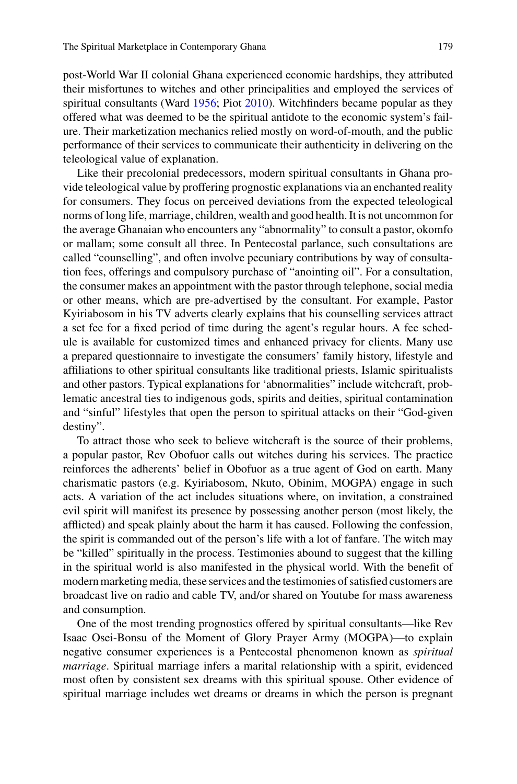post-World War II colonial Ghana experienced economic hardships, they attributed their misfortunes to witches and other principalities and employed the services of spiritual consultants (Ward [1956;](#page-26-0) Piot [2010\)](#page-25-22). Witchfinders became popular as they offered what was deemed to be the spiritual antidote to the economic system's failure. Their marketization mechanics relied mostly on word-of-mouth, and the public performance of their services to communicate their authenticity in delivering on the teleological value of explanation.

Like their precolonial predecessors, modern spiritual consultants in Ghana provide teleological value by proffering prognostic explanations via an enchanted reality for consumers. They focus on perceived deviations from the expected teleological norms of long life, marriage, children, wealth and good health. It is not uncommon for the average Ghanaian who encounters any "abnormality" to consult a pastor, okomfo or mallam; some consult all three. In Pentecostal parlance, such consultations are called "counselling", and often involve pecuniary contributions by way of consultation fees, offerings and compulsory purchase of "anointing oil". For a consultation, the consumer makes an appointment with the pastor through telephone, social media or other means, which are pre-advertised by the consultant. For example, Pastor Kyiriabosom in his TV adverts clearly explains that his counselling services attract a set fee for a fixed period of time during the agent's regular hours. A fee schedule is available for customized times and enhanced privacy for clients. Many use a prepared questionnaire to investigate the consumers' family history, lifestyle and affiliations to other spiritual consultants like traditional priests, Islamic spiritualists and other pastors. Typical explanations for 'abnormalities" include witchcraft, problematic ancestral ties to indigenous gods, spirits and deities, spiritual contamination and "sinful" lifestyles that open the person to spiritual attacks on their "God-given destiny".

To attract those who seek to believe witchcraft is the source of their problems, a popular pastor, Rev Obofuor calls out witches during his services. The practice reinforces the adherents' belief in Obofuor as a true agent of God on earth. Many charismatic pastors (e.g. Kyiriabosom, Nkuto, Obinim, MOGPA) engage in such acts. A variation of the act includes situations where, on invitation, a constrained evil spirit will manifest its presence by possessing another person (most likely, the afflicted) and speak plainly about the harm it has caused. Following the confession, the spirit is commanded out of the person's life with a lot of fanfare. The witch may be "killed" spiritually in the process. Testimonies abound to suggest that the killing in the spiritual world is also manifested in the physical world. With the benefit of modern marketing media, these services and the testimonies of satisfied customers are broadcast live on radio and cable TV, and/or shared on Youtube for mass awareness and consumption.

One of the most trending prognostics offered by spiritual consultants—like Rev Isaac Osei-Bonsu of the Moment of Glory Prayer Army (MOGPA)—to explain negative consumer experiences is a Pentecostal phenomenon known as *spiritual marriage*. Spiritual marriage infers a marital relationship with a spirit, evidenced most often by consistent sex dreams with this spiritual spouse. Other evidence of spiritual marriage includes wet dreams or dreams in which the person is pregnant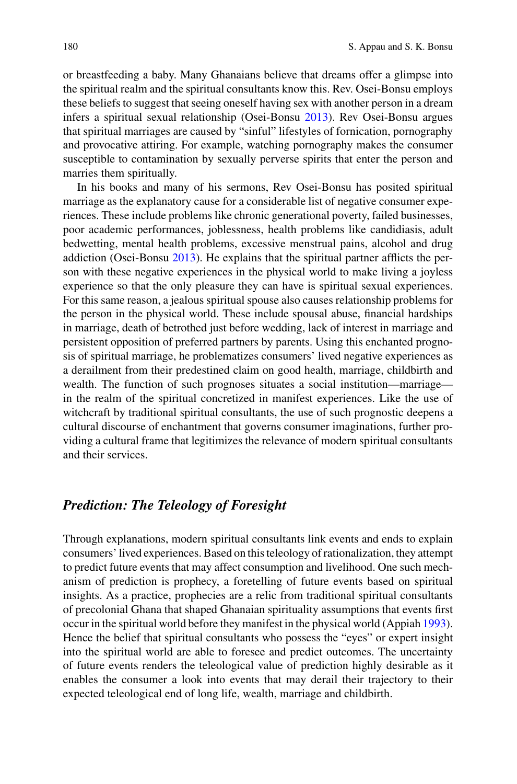or breastfeeding a baby. Many Ghanaians believe that dreams offer a glimpse into the spiritual realm and the spiritual consultants know this. Rev. Osei-Bonsu employs these beliefs to suggest that seeing oneself having sex with another person in a dream infers a spiritual sexual relationship (Osei-Bonsu [2013\)](#page-25-26). Rev Osei-Bonsu argues that spiritual marriages are caused by "sinful" lifestyles of fornication, pornography and provocative attiring. For example, watching pornography makes the consumer susceptible to contamination by sexually perverse spirits that enter the person and marries them spiritually.

In his books and many of his sermons, Rev Osei-Bonsu has posited spiritual marriage as the explanatory cause for a considerable list of negative consumer experiences. These include problems like chronic generational poverty, failed businesses, poor academic performances, joblessness, health problems like candidiasis, adult bedwetting, mental health problems, excessive menstrual pains, alcohol and drug addiction (Osei-Bonsu [2013\)](#page-25-26). He explains that the spiritual partner afflicts the person with these negative experiences in the physical world to make living a joyless experience so that the only pleasure they can have is spiritual sexual experiences. For this same reason, a jealous spiritual spouse also causes relationship problems for the person in the physical world. These include spousal abuse, financial hardships in marriage, death of betrothed just before wedding, lack of interest in marriage and persistent opposition of preferred partners by parents. Using this enchanted prognosis of spiritual marriage, he problematizes consumers' lived negative experiences as a derailment from their predestined claim on good health, marriage, childbirth and wealth. The function of such prognoses situates a social institution—marriage in the realm of the spiritual concretized in manifest experiences. Like the use of witchcraft by traditional spiritual consultants, the use of such prognostic deepens a cultural discourse of enchantment that governs consumer imaginations, further providing a cultural frame that legitimizes the relevance of modern spiritual consultants and their services.

## *Prediction: The Teleology of Foresight*

Through explanations, modern spiritual consultants link events and ends to explain consumers' lived experiences. Based on this teleology of rationalization, they attempt to predict future events that may affect consumption and livelihood. One such mechanism of prediction is prophecy, a foretelling of future events based on spiritual insights. As a practice, prophecies are a relic from traditional spiritual consultants of precolonial Ghana that shaped Ghanaian spirituality assumptions that events first occur in the spiritual world before they manifest in the physical world (Appiah [1993\)](#page-23-12). Hence the belief that spiritual consultants who possess the "eyes" or expert insight into the spiritual world are able to foresee and predict outcomes. The uncertainty of future events renders the teleological value of prediction highly desirable as it enables the consumer a look into events that may derail their trajectory to their expected teleological end of long life, wealth, marriage and childbirth.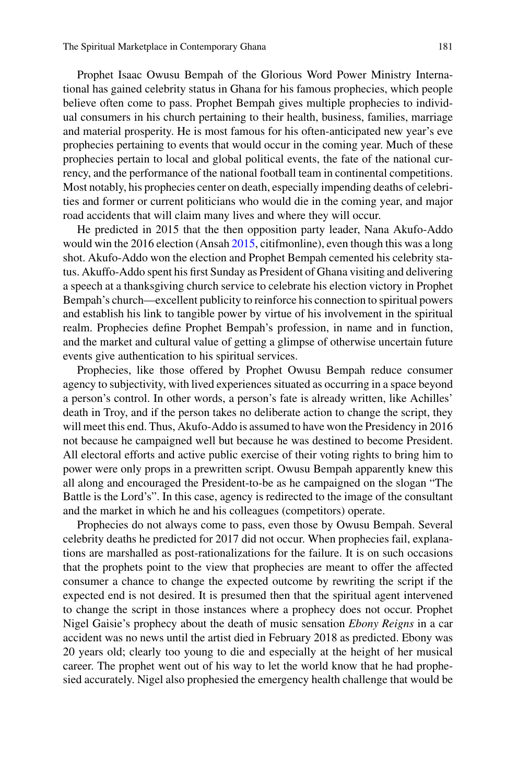Prophet Isaac Owusu Bempah of the Glorious Word Power Ministry International has gained celebrity status in Ghana for his famous prophecies, which people believe often come to pass. Prophet Bempah gives multiple prophecies to individual consumers in his church pertaining to their health, business, families, marriage and material prosperity. He is most famous for his often-anticipated new year's eve prophecies pertaining to events that would occur in the coming year. Much of these prophecies pertain to local and global political events, the fate of the national currency, and the performance of the national football team in continental competitions. Most notably, his prophecies center on death, especially impending deaths of celebrities and former or current politicians who would die in the coming year, and major road accidents that will claim many lives and where they will occur.

He predicted in 2015 that the then opposition party leader, Nana Akufo-Addo would win the 2016 election (Ansah [2015,](#page-23-24) citifmonline), even though this was a long shot. Akufo-Addo won the election and Prophet Bempah cemented his celebrity status. Akuffo-Addo spent his first Sunday as President of Ghana visiting and delivering a speech at a thanksgiving church service to celebrate his election victory in Prophet Bempah's church—excellent publicity to reinforce his connection to spiritual powers and establish his link to tangible power by virtue of his involvement in the spiritual realm. Prophecies define Prophet Bempah's profession, in name and in function, and the market and cultural value of getting a glimpse of otherwise uncertain future events give authentication to his spiritual services.

Prophecies, like those offered by Prophet Owusu Bempah reduce consumer agency to subjectivity, with lived experiences situated as occurring in a space beyond a person's control. In other words, a person's fate is already written, like Achilles' death in Troy, and if the person takes no deliberate action to change the script, they will meet this end. Thus, Akufo-Addo is assumed to have won the Presidency in 2016 not because he campaigned well but because he was destined to become President. All electoral efforts and active public exercise of their voting rights to bring him to power were only props in a prewritten script. Owusu Bempah apparently knew this all along and encouraged the President-to-be as he campaigned on the slogan "The Battle is the Lord's". In this case, agency is redirected to the image of the consultant and the market in which he and his colleagues (competitors) operate.

Prophecies do not always come to pass, even those by Owusu Bempah. Several celebrity deaths he predicted for 2017 did not occur. When prophecies fail, explanations are marshalled as post-rationalizations for the failure. It is on such occasions that the prophets point to the view that prophecies are meant to offer the affected consumer a chance to change the expected outcome by rewriting the script if the expected end is not desired. It is presumed then that the spiritual agent intervened to change the script in those instances where a prophecy does not occur. Prophet Nigel Gaisie's prophecy about the death of music sensation *Ebony Reigns* in a car accident was no news until the artist died in February 2018 as predicted. Ebony was 20 years old; clearly too young to die and especially at the height of her musical career. The prophet went out of his way to let the world know that he had prophesied accurately. Nigel also prophesied the emergency health challenge that would be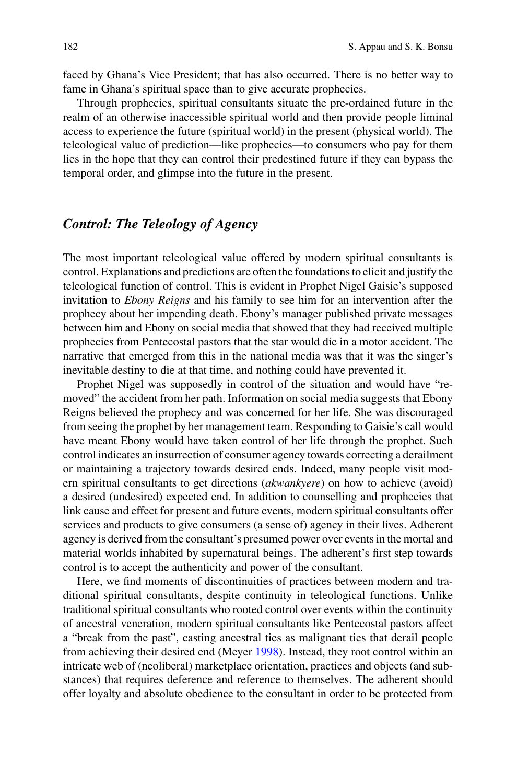faced by Ghana's Vice President; that has also occurred. There is no better way to fame in Ghana's spiritual space than to give accurate prophecies.

Through prophecies, spiritual consultants situate the pre-ordained future in the realm of an otherwise inaccessible spiritual world and then provide people liminal access to experience the future (spiritual world) in the present (physical world). The teleological value of prediction—like prophecies—to consumers who pay for them lies in the hope that they can control their predestined future if they can bypass the temporal order, and glimpse into the future in the present.

# *Control: The Teleology of Agency*

The most important teleological value offered by modern spiritual consultants is control. Explanations and predictions are often the foundations to elicit and justify the teleological function of control. This is evident in Prophet Nigel Gaisie's supposed invitation to *Ebony Reigns* and his family to see him for an intervention after the prophecy about her impending death. Ebony's manager published private messages between him and Ebony on social media that showed that they had received multiple prophecies from Pentecostal pastors that the star would die in a motor accident. The narrative that emerged from this in the national media was that it was the singer's inevitable destiny to die at that time, and nothing could have prevented it.

Prophet Nigel was supposedly in control of the situation and would have "removed" the accident from her path. Information on social media suggests that Ebony Reigns believed the prophecy and was concerned for her life. She was discouraged from seeing the prophet by her management team. Responding to Gaisie's call would have meant Ebony would have taken control of her life through the prophet. Such control indicates an insurrection of consumer agency towards correcting a derailment or maintaining a trajectory towards desired ends. Indeed, many people visit modern spiritual consultants to get directions (*akwankyere*) on how to achieve (avoid) a desired (undesired) expected end. In addition to counselling and prophecies that link cause and effect for present and future events, modern spiritual consultants offer services and products to give consumers (a sense of) agency in their lives. Adherent agency is derived from the consultant's presumed power over events in the mortal and material worlds inhabited by supernatural beings. The adherent's first step towards control is to accept the authenticity and power of the consultant.

Here, we find moments of discontinuities of practices between modern and traditional spiritual consultants, despite continuity in teleological functions. Unlike traditional spiritual consultants who rooted control over events within the continuity of ancestral veneration, modern spiritual consultants like Pentecostal pastors affect a "break from the past", casting ancestral ties as malignant ties that derail people from achieving their desired end (Meyer [1998\)](#page-24-12). Instead, they root control within an intricate web of (neoliberal) marketplace orientation, practices and objects (and substances) that requires deference and reference to themselves. The adherent should offer loyalty and absolute obedience to the consultant in order to be protected from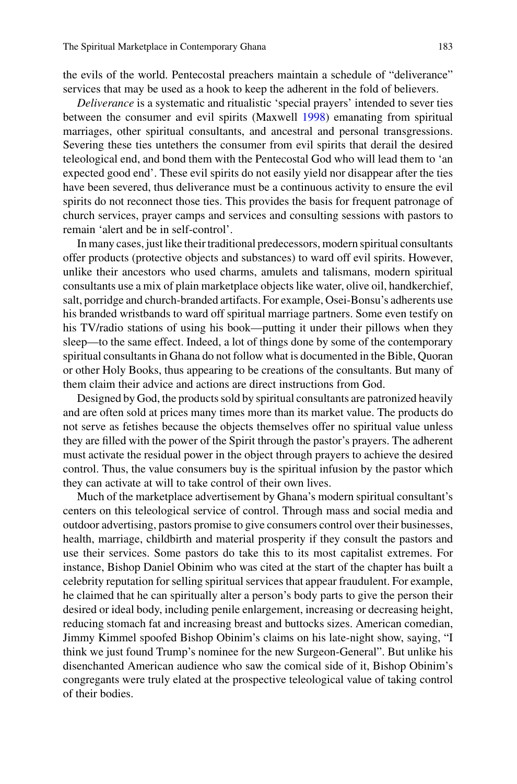the evils of the world. Pentecostal preachers maintain a schedule of "deliverance" services that may be used as a hook to keep the adherent in the fold of believers.

*Deliverance* is a systematic and ritualistic 'special prayers' intended to sever ties between the consumer and evil spirits (Maxwell [1998\)](#page-24-23) emanating from spiritual marriages, other spiritual consultants, and ancestral and personal transgressions. Severing these ties untethers the consumer from evil spirits that derail the desired teleological end, and bond them with the Pentecostal God who will lead them to 'an expected good end'. These evil spirits do not easily yield nor disappear after the ties have been severed, thus deliverance must be a continuous activity to ensure the evil spirits do not reconnect those ties. This provides the basis for frequent patronage of church services, prayer camps and services and consulting sessions with pastors to remain 'alert and be in self-control'.

In many cases, just like their traditional predecessors, modern spiritual consultants offer products (protective objects and substances) to ward off evil spirits. However, unlike their ancestors who used charms, amulets and talismans, modern spiritual consultants use a mix of plain marketplace objects like water, olive oil, handkerchief, salt, porridge and church-branded artifacts. For example, Osei-Bonsu's adherents use his branded wristbands to ward off spiritual marriage partners. Some even testify on his TV/radio stations of using his book—putting it under their pillows when they sleep—to the same effect. Indeed, a lot of things done by some of the contemporary spiritual consultants in Ghana do not follow what is documented in the Bible, Quoran or other Holy Books, thus appearing to be creations of the consultants. But many of them claim their advice and actions are direct instructions from God.

Designed by God, the products sold by spiritual consultants are patronized heavily and are often sold at prices many times more than its market value. The products do not serve as fetishes because the objects themselves offer no spiritual value unless they are filled with the power of the Spirit through the pastor's prayers. The adherent must activate the residual power in the object through prayers to achieve the desired control. Thus, the value consumers buy is the spiritual infusion by the pastor which they can activate at will to take control of their own lives.

Much of the marketplace advertisement by Ghana's modern spiritual consultant's centers on this teleological service of control. Through mass and social media and outdoor advertising, pastors promise to give consumers control over their businesses, health, marriage, childbirth and material prosperity if they consult the pastors and use their services. Some pastors do take this to its most capitalist extremes. For instance, Bishop Daniel Obinim who was cited at the start of the chapter has built a celebrity reputation for selling spiritual services that appear fraudulent. For example, he claimed that he can spiritually alter a person's body parts to give the person their desired or ideal body, including penile enlargement, increasing or decreasing height, reducing stomach fat and increasing breast and buttocks sizes. American comedian, Jimmy Kimmel spoofed Bishop Obinim's claims on his late-night show, saying, "I think we just found Trump's nominee for the new Surgeon-General". But unlike his disenchanted American audience who saw the comical side of it, Bishop Obinim's congregants were truly elated at the prospective teleological value of taking control of their bodies.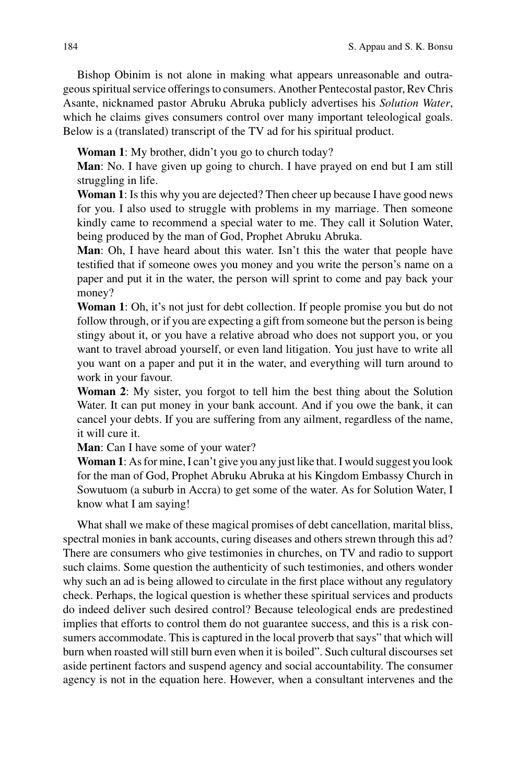Bishop Obinim is not alone in making what appears unreasonable and outrageous spiritual service offerings to consumers. Another Pentecostal pastor, Rev Chris Asante, nicknamed pastor Abruku Abruka publicly advertises his *Solution Water*, which he claims gives consumers control over many important teleological goals. Below is a (translated) transcript of the TV ad for his spiritual product.

**Woman 1**: My brother, didn't you go to church today?

**Man**: No. I have given up going to church. I have prayed on end but I am still struggling in life.

**Woman 1**: Is this why you are dejected? Then cheer up because I have good news for you. I also used to struggle with problems in my marriage. Then someone kindly came to recommend a special water to me. They call it Solution Water, being produced by the man of God, Prophet Abruku Abruka.

**Man**: Oh, I have heard about this water. Isn't this the water that people have testified that if someone owes you money and you write the person's name on a paper and put it in the water, the person will sprint to come and pay back your money?

**Woman 1**: Oh, it's not just for debt collection. If people promise you but do not follow through, or if you are expecting a gift from someone but the person is being stingy about it, or you have a relative abroad who does not support you, or you want to travel abroad yourself, or even land litigation. You just have to write all you want on a paper and put it in the water, and everything will turn around to work in your favour.

**Woman 2**: My sister, you forgot to tell him the best thing about the Solution Water. It can put money in your bank account. And if you owe the bank, it can cancel your debts. If you are suffering from any ailment, regardless of the name, it will cure it.

**Man**: Can I have some of your water?

**Woman 1**: As for mine, I can't give you any just like that. I would suggest you look for the man of God, Prophet Abruku Abruka at his Kingdom Embassy Church in Sowutuom (a suburb in Accra) to get some of the water. As for Solution Water, I know what I am saying!

What shall we make of these magical promises of debt cancellation, marital bliss, spectral monies in bank accounts, curing diseases and others strewn through this ad? There are consumers who give testimonies in churches, on TV and radio to support such claims. Some question the authenticity of such testimonies, and others wonder why such an ad is being allowed to circulate in the first place without any regulatory check. Perhaps, the logical question is whether these spiritual services and products do indeed deliver such desired control? Because teleological ends are predestined implies that efforts to control them do not guarantee success, and this is a risk consumers accommodate. This is captured in the local proverb that says" that which will burn when roasted will still burn even when it is boiled". Such cultural discourses set aside pertinent factors and suspend agency and social accountability. The consumer agency is not in the equation here. However, when a consultant intervenes and the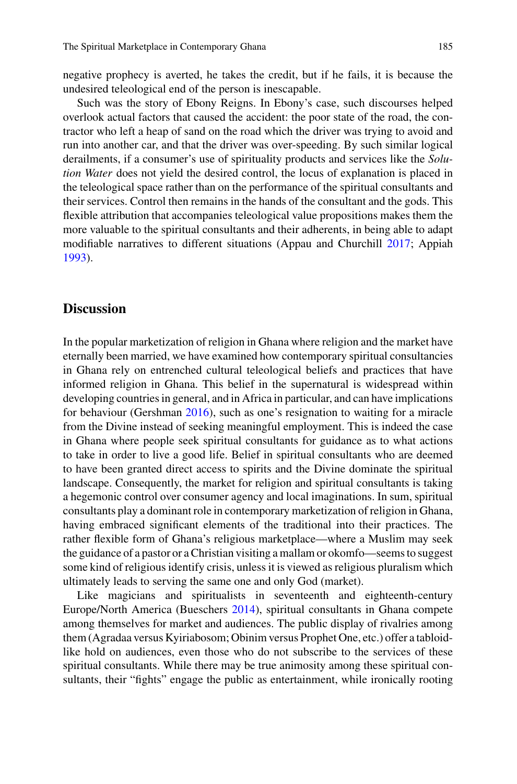negative prophecy is averted, he takes the credit, but if he fails, it is because the undesired teleological end of the person is inescapable.

Such was the story of Ebony Reigns. In Ebony's case, such discourses helped overlook actual factors that caused the accident: the poor state of the road, the contractor who left a heap of sand on the road which the driver was trying to avoid and run into another car, and that the driver was over-speeding. By such similar logical derailments, if a consumer's use of spirituality products and services like the *Solution Water* does not yield the desired control, the locus of explanation is placed in the teleological space rather than on the performance of the spiritual consultants and their services. Control then remains in the hands of the consultant and the gods. This flexible attribution that accompanies teleological value propositions makes them the more valuable to the spiritual consultants and their adherents, in being able to adapt modifiable narratives to different situations (Appau and Churchill [2017;](#page-23-5) Appiah [1993\)](#page-23-12).

#### **Discussion**

In the popular marketization of religion in Ghana where religion and the market have eternally been married, we have examined how contemporary spiritual consultancies in Ghana rely on entrenched cultural teleological beliefs and practices that have informed religion in Ghana. This belief in the supernatural is widespread within developing countries in general, and in Africa in particular, and can have implications for behaviour (Gershman [2016\)](#page-24-24), such as one's resignation to waiting for a miracle from the Divine instead of seeking meaningful employment. This is indeed the case in Ghana where people seek spiritual consultants for guidance as to what actions to take in order to live a good life. Belief in spiritual consultants who are deemed to have been granted direct access to spirits and the Divine dominate the spiritual landscape. Consequently, the market for religion and spiritual consultants is taking a hegemonic control over consumer agency and local imaginations. In sum, spiritual consultants play a dominant role in contemporary marketization of religion in Ghana, having embraced significant elements of the traditional into their practices. The rather flexible form of Ghana's religious marketplace—where a Muslim may seek the guidance of a pastor or a Christian visiting a mallam or okomfo—seems to suggest some kind of religious identify crisis, unless it is viewed as religious pluralism which ultimately leads to serving the same one and only God (market).

Like magicians and spiritualists in seventeenth and eighteenth-century Europe/North America (Bueschers [2014\)](#page-23-25), spiritual consultants in Ghana compete among themselves for market and audiences. The public display of rivalries among them (Agradaa versus Kyiriabosom; Obinim versus Prophet One, etc.) offer a tabloidlike hold on audiences, even those who do not subscribe to the services of these spiritual consultants. While there may be true animosity among these spiritual consultants, their "fights" engage the public as entertainment, while ironically rooting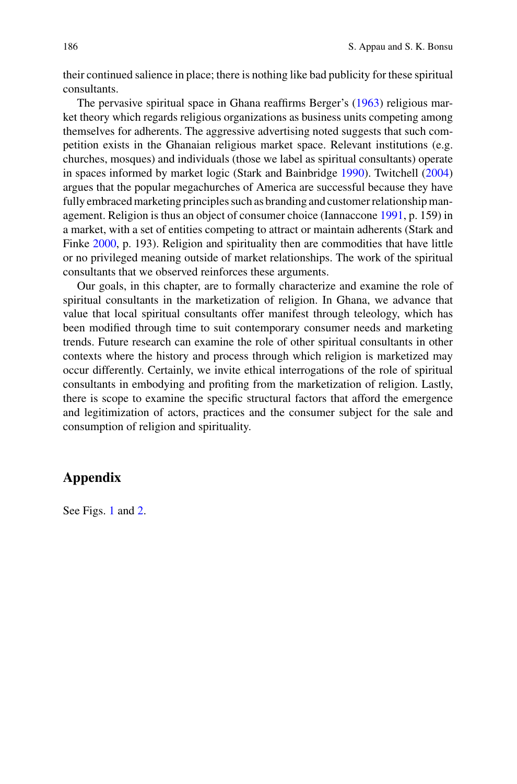their continued salience in place; there is nothing like bad publicity for these spiritual consultants.

The pervasive spiritual space in Ghana reaffirms Berger's [\(1963\)](#page-23-26) religious market theory which regards religious organizations as business units competing among themselves for adherents. The aggressive advertising noted suggests that such competition exists in the Ghanaian religious market space. Relevant institutions (e.g. churches, mosques) and individuals (those we label as spiritual consultants) operate in spaces informed by market logic (Stark and Bainbridge [1990\)](#page-25-27). Twitchell [\(2004\)](#page-25-3) argues that the popular megachurches of America are successful because they have fully embraced marketing principles such as branding and customer relationship management. Religion is thus an object of consumer choice (Iannaccone [1991,](#page-24-25) p. 159) in a market, with a set of entities competing to attract or maintain adherents (Stark and Finke [2000,](#page-25-9) p. 193). Religion and spirituality then are commodities that have little or no privileged meaning outside of market relationships. The work of the spiritual consultants that we observed reinforces these arguments.

Our goals, in this chapter, are to formally characterize and examine the role of spiritual consultants in the marketization of religion. In Ghana, we advance that value that local spiritual consultants offer manifest through teleology, which has been modified through time to suit contemporary consumer needs and marketing trends. Future research can examine the role of other spiritual consultants in other contexts where the history and process through which religion is marketized may occur differently. Certainly, we invite ethical interrogations of the role of spiritual consultants in embodying and profiting from the marketization of religion. Lastly, there is scope to examine the specific structural factors that afford the emergence and legitimization of actors, practices and the consumer subject for the sale and consumption of religion and spirituality.

# **Appendix**

See Figs. [1](#page-22-0) and [2.](#page-22-1)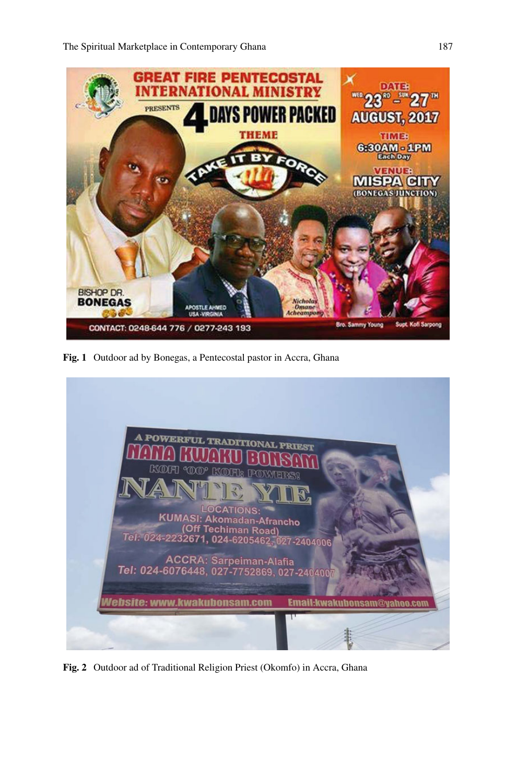

**Fig. 1** Outdoor ad by Bonegas, a Pentecostal pastor in Accra, Ghana

<span id="page-22-1"></span><span id="page-22-0"></span>

**Fig. 2** Outdoor ad of Traditional Religion Priest (Okomfo) in Accra, Ghana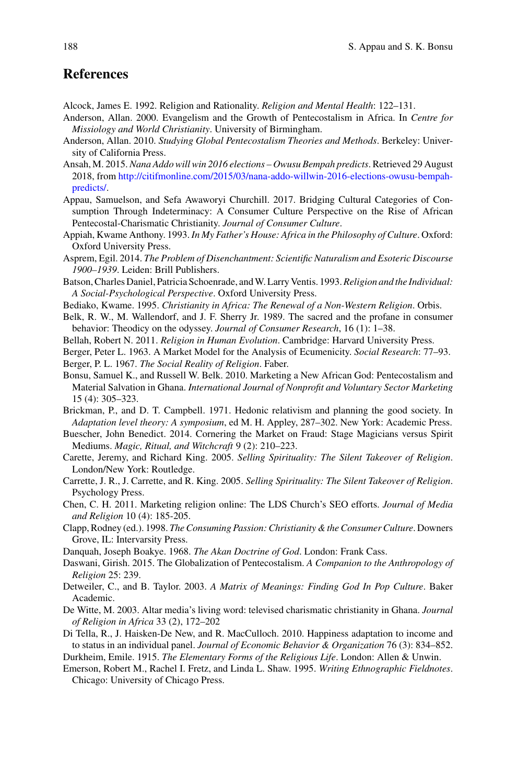# **References**

- <span id="page-23-23"></span>Alcock, James E. 1992. Religion and Rationality. *Religion and Mental Health*: 122–131.
- <span id="page-23-18"></span>Anderson, Allan. 2000. Evangelism and the Growth of Pentecostalism in Africa. In *Centre for Missiology and World Christianity*. University of Birmingham.
- <span id="page-23-17"></span>Anderson, Allan. 2010. *Studying Global Pentecostalism Theories and Methods*. Berkeley: University of California Press.
- <span id="page-23-24"></span>Ansah, M. 2015.*Nana Addo will win 2016 elections – Owusu Bempah predicts*. Retrieved 29 August 2018, from [http://citifmonline.com/2015/03/nana-addo-willwin-2016-elections-owusu-bempah](http://citifmonline.com/2015/03/nana-addo-willwin-2016-elections-owusu-bempah-predicts/)predicts/.
- <span id="page-23-5"></span>Appau, Samuelson, and Sefa Awaworyi Churchill. 2017. Bridging Cultural Categories of Consumption Through Indeterminacy: A Consumer Culture Perspective on the Rise of African Pentecostal-Charismatic Christianity. *Journal of Consumer Culture*.
- <span id="page-23-12"></span>Appiah, Kwame Anthony. 1993. *In My Father's House: Africa in the Philosophy of Culture*. Oxford: Oxford University Press.
- <span id="page-23-11"></span>Asprem, Egil. 2014. *The Problem of Disenchantment: Scientific Naturalism and Esoteric Discourse 1900–1939*. Leiden: Brill Publishers.
- <span id="page-23-21"></span>Batson, Charles Daniel, Patricia Schoenrade, andW. Larry Ventis. 1993.*Religion and the Individual: A Social-Psychological Perspective*. Oxford University Press.
- <span id="page-23-16"></span>Bediako, Kwame. 1995. *Christianity in Africa: The Renewal of a Non-Western Religion*. Orbis.
- <span id="page-23-1"></span>Belk, R. W., M. Wallendorf, and J. F. Sherry Jr. 1989. The sacred and the profane in consumer behavior: Theodicy on the odyssey. *Journal of Consumer Research*, 16 (1): 1–38.
- <span id="page-23-3"></span>Bellah, Robert N. 2011. *Religion in Human Evolution*. Cambridge: Harvard University Press.
- <span id="page-23-26"></span><span id="page-23-9"></span>Berger, Peter L. 1963. A Market Model for the Analysis of Ecumenicity. *Social Research*: 77–93. Berger, P. L. 1967. *The Social Reality of Religion*. Faber.
- <span id="page-23-6"></span>Bonsu, Samuel K., and Russell W. Belk. 2010. Marketing a New African God: Pentecostalism and Material Salvation in Ghana. *International Journal of Nonprofit and Voluntary Sector Marketing* 15 (4): 305–323.
- <span id="page-23-14"></span>Brickman, P., and D. T. Campbell. 1971. Hedonic relativism and planning the good society. In *Adaptation level theory: A symposium*, ed M. H. Appley, 287–302. New York: Academic Press.
- <span id="page-23-25"></span>Buescher, John Benedict. 2014. Cornering the Market on Fraud: Stage Magicians versus Spirit Mediums. *Magic, Ritual, and Witchcraft* 9 (2): 210–223.
- <span id="page-23-10"></span>Carette, Jeremy, and Richard King. 2005. *Selling Spirituality: The Silent Takeover of Religion*. London/New York: Routledge.
- <span id="page-23-2"></span>Carrette, J. R., J. Carrette, and R. King. 2005. *Selling Spirituality: The Silent Takeover of Religion*. Psychology Press.
- <span id="page-23-13"></span>Chen, C. H. 2011. Marketing religion online: The LDS Church's SEO efforts. *Journal of Media and Religion* 10 (4): 185-205.
- <span id="page-23-7"></span>Clapp, Rodney (ed.). 1998. *The Consuming Passion: Christianity & the Consumer Culture*. Downers Grove, IL: Intervarsity Press.
- <span id="page-23-19"></span>Danquah, Joseph Boakye. 1968. *The Akan Doctrine of God*. London: Frank Cass.
- <span id="page-23-20"></span>Daswani, Girish. 2015. The Globalization of Pentecostalism. *A Companion to the Anthropology of Religion* 25: 239.
- <span id="page-23-8"></span>Detweiler, C., and B. Taylor. 2003. *A Matrix of Meanings: Finding God In Pop Culture*. Baker Academic.
- <span id="page-23-0"></span>De Witte, M. 2003. Altar media's living word: televised charismatic christianity in Ghana. *Journal of Religion in Africa* 33 (2), 172–202
- <span id="page-23-15"></span>Di Tella, R., J. Haisken-De New, and R. MacCulloch. 2010. Happiness adaptation to income and to status in an individual panel. *Journal of Economic Behavior & Organization* 76 (3): 834–852.
- <span id="page-23-4"></span>Durkheim, Emile. 1915. *The Elementary Forms of the Religious Life*. London: Allen & Unwin.
- <span id="page-23-22"></span>Emerson, Robert M., Rachel I. Fretz, and Linda L. Shaw. 1995. *Writing Ethnographic Fieldnotes*. Chicago: University of Chicago Press.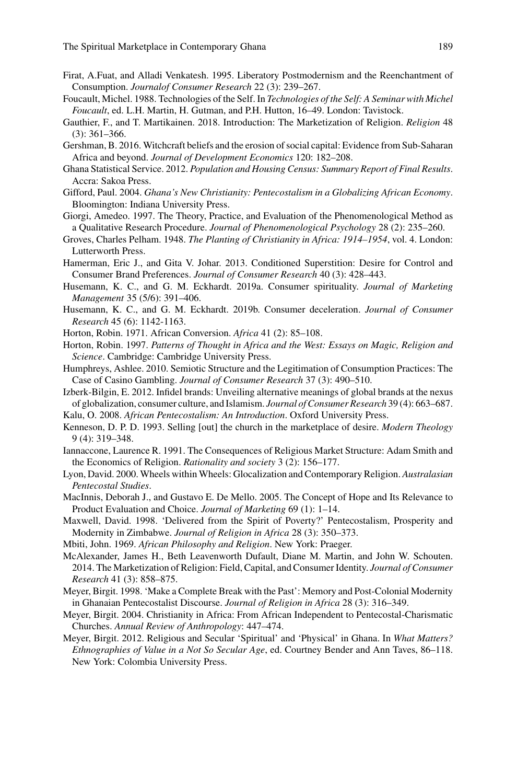- <span id="page-24-8"></span>Firat, A.Fuat, and Alladi Venkatesh. 1995. Liberatory Postmodernism and the Reenchantment of Consumption. *Journalof Consumer Research* 22 (3): 239–267.
- <span id="page-24-17"></span>Foucault, Michel. 1988. Technologies of the Self. In *Technologies of the Self: A Seminar with Michel Foucault*, ed. L.H. Martin, H. Gutman, and P.H. Hutton, 16–49. London: Tavistock.
- <span id="page-24-4"></span>Gauthier, F., and T. Martikainen. 2018. Introduction: The Marketization of Religion. *Religion* 48 (3): 361–366.
- <span id="page-24-24"></span>Gershman, B. 2016. Witchcraft beliefs and the erosion of social capital: Evidence from Sub-Saharan Africa and beyond. *Journal of Development Economics* 120: 182–208.
- <span id="page-24-15"></span>Ghana Statistical Service. 2012. *Population and Housing Census: Summary Report of Final Results*. Accra: Sakoa Press.
- <span id="page-24-13"></span>Gifford, Paul. 2004. *Ghana's New Christianity: Pentecostalism in a Globalizing African Economy*. Bloomington: Indiana University Press.
- <span id="page-24-22"></span>Giorgi, Amedeo. 1997. The Theory, Practice, and Evaluation of the Phenomenological Method as a Qualitative Research Procedure. *Journal of Phenomenological Psychology* 28 (2): 235–260.
- <span id="page-24-10"></span>Groves, Charles Pelham. 1948. *The Planting of Christianity in Africa: 1914–1954*, vol. 4. London: Lutterworth Press.
- <span id="page-24-18"></span>Hamerman, Eric J., and Gita V. Johar. 2013. Conditioned Superstition: Desire for Control and Consumer Brand Preferences. *Journal of Consumer Research* 40 (3): 428–443.
- <span id="page-24-5"></span>Husemann, K. C., and G. M. Eckhardt. 2019a. Consumer spirituality. *Journal of Marketing Management* 35 (5/6): 391–406.
- <span id="page-24-1"></span>Husemann, K. C., and G. M. Eckhardt. 2019b. Consumer deceleration. *Journal of Consumer Research* 45 (6): 1142-1163.
- <span id="page-24-11"></span>Horton, Robin. 1971. African Conversion. *Africa* 41 (2): 85–108.
- <span id="page-24-3"></span>Horton, Robin. 1997. *Patterns of Thought in Africa and the West: Essays on Magic, Religion and Science*. Cambridge: Cambridge University Press.
- <span id="page-24-21"></span>Humphreys, Ashlee. 2010. Semiotic Structure and the Legitimation of Consumption Practices: The Case of Casino Gambling. *Journal of Consumer Research* 37 (3): 490–510.
- <span id="page-24-9"></span>Izberk-Bilgin, E. 2012. Infidel brands: Unveiling alternative meanings of global brands at the nexus of globalization, consumer culture, and Islamism. *Journal of Consumer Research* 39 (4): 663–687.
- <span id="page-24-14"></span>Kalu, O. 2008. *African Pentecostalism: An Introduction*. Oxford University Press.
- <span id="page-24-6"></span>Kenneson, D. P. D. 1993. Selling [out] the church in the marketplace of desire. *Modern Theology* 9 (4): 319–348.
- <span id="page-24-25"></span>Iannaccone, Laurence R. 1991. The Consequences of Religious Market Structure: Adam Smith and the Economics of Religion. *Rationality and society* 3 (2): 156–177.
- <span id="page-24-7"></span>Lyon, David. 2000. Wheels within Wheels: Glocalization and Contemporary Religion. *Australasian Pentecostal Studies*.
- <span id="page-24-19"></span>MacInnis, Deborah J., and Gustavo E. De Mello. 2005. The Concept of Hope and Its Relevance to Product Evaluation and Choice. *Journal of Marketing* 69 (1): 1–14.
- <span id="page-24-23"></span>Maxwell, David. 1998. 'Delivered from the Spirit of Poverty?' Pentecostalism, Prosperity and Modernity in Zimbabwe. *Journal of Religion in Africa* 28 (3): 350–373.
- <span id="page-24-20"></span>Mbiti, John. 1969. *African Philosophy and Religion*. New York: Praeger.
- <span id="page-24-2"></span>McAlexander, James H., Beth Leavenworth Dufault, Diane M. Martin, and John W. Schouten. 2014. The Marketization of Religion: Field, Capital, and Consumer Identity. *Journal of Consumer Research* 41 (3): 858–875.
- <span id="page-24-12"></span>Meyer, Birgit. 1998. 'Make a Complete Break with the Past': Memory and Post-Colonial Modernity in Ghanaian Pentecostalist Discourse. *Journal of Religion in Africa* 28 (3): 316–349.
- <span id="page-24-0"></span>Meyer, Birgit. 2004. Christianity in Africa: From African Independent to Pentecostal-Charismatic Churches. *Annual Review of Anthropology*: 447–474.
- <span id="page-24-16"></span>Meyer, Birgit. 2012. Religious and Secular 'Spiritual' and 'Physical' in Ghana. In *What Matters? Ethnographies of Value in a Not So Secular Age*, ed. Courtney Bender and Ann Taves, 86–118. New York: Colombia University Press.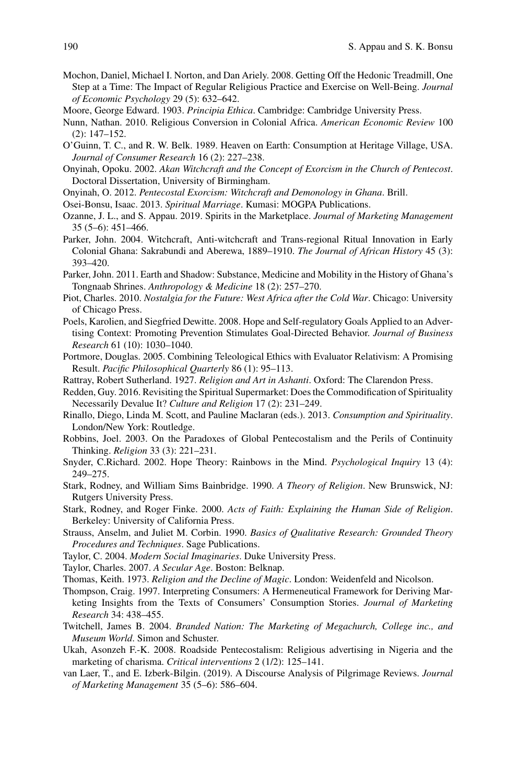- <span id="page-25-10"></span>Mochon, Daniel, Michael I. Norton, and Dan Ariely. 2008. Getting Off the Hedonic Treadmill, One Step at a Time: The Impact of Regular Religious Practice and Exercise on Well-Being. *Journal of Economic Psychology* 29 (5): 632–642.
- <span id="page-25-18"></span>Moore, George Edward. 1903. *Principia Ethica*. Cambridge: Cambridge University Press.
- <span id="page-25-13"></span>Nunn, Nathan. 2010. Religious Conversion in Colonial Africa. *American Economic Review* 100 (2): 147–152.
- <span id="page-25-2"></span>O'Guinn, T. C., and R. W. Belk. 1989. Heaven on Earth: Consumption at Heritage Village, USA. *Journal of Consumer Research* 16 (2): 227–238.
- <span id="page-25-0"></span>Onyinah, Opoku. 2002. *Akan Witchcraft and the Concept of Exorcism in the Church of Pentecost*. Doctoral Dissertation, University of Birmingham.
- <span id="page-25-17"></span>Onyinah, O. 2012. *Pentecostal Exorcism: Witchcraft and Demonology in Ghana*. Brill.
- <span id="page-25-26"></span>Osei-Bonsu, Isaac. 2013. *Spiritual Marriage*. Kumasi: MOGPA Publications.
- <span id="page-25-16"></span>Ozanne, J. L., and S. Appau. 2019. Spirits in the Marketplace. *Journal of Marketing Management* 35 (5–6): 451–466.
- <span id="page-25-14"></span>Parker, John. 2004. Witchcraft, Anti-witchcraft and Trans-regional Ritual Innovation in Early Colonial Ghana: Sakrabundi and Aberewa, 1889–1910. *The Journal of African History* 45 (3): 393–420.
- <span id="page-25-12"></span>Parker, John. 2011. Earth and Shadow: Substance, Medicine and Mobility in the History of Ghana's Tongnaab Shrines. *Anthropology & Medicine* 18 (2): 257–270.
- <span id="page-25-22"></span>Piot, Charles. 2010. *Nostalgia for the Future: West Africa after the Cold War*. Chicago: University of Chicago Press.
- <span id="page-25-20"></span>Poels, Karolien, and Siegfried Dewitte. 2008. Hope and Self-regulatory Goals Applied to an Advertising Context: Promoting Prevention Stimulates Goal-Directed Behavior. *Journal of Business Research* 61 (10): 1030–1040.
- <span id="page-25-19"></span>Portmore, Douglas. 2005. Combining Teleological Ethics with Evaluator Relativism: A Promising Result. *Pacific Philosophical Quarterly* 86 (1): 95–113.
- <span id="page-25-11"></span>Rattray, Robert Sutherland. 1927. *Religion and Art in Ashanti*. Oxford: The Clarendon Press.
- <span id="page-25-6"></span>Redden, Guy. 2016. Revisiting the Spiritual Supermarket: Does the Commodification of Spirituality Necessarily Devalue It? *Culture and Religion* 17 (2): 231–249.
- <span id="page-25-1"></span>Rinallo, Diego, Linda M. Scott, and Pauline Maclaran (eds.). 2013. *Consumption and Spirituality*. London/New York: Routledge.
- <span id="page-25-15"></span>Robbins, Joel. 2003. On the Paradoxes of Global Pentecostalism and the Perils of Continuity Thinking. *Religion* 33 (3): 221–231.
- <span id="page-25-21"></span>Snyder, C.Richard. 2002. Hope Theory: Rainbows in the Mind. *Psychological Inquiry* 13 (4): 249–275.
- <span id="page-25-27"></span>Stark, Rodney, and William Sims Bainbridge. 1990. *A Theory of Religion*. New Brunswick, NJ: Rutgers University Press.
- <span id="page-25-9"></span>Stark, Rodney, and Roger Finke. 2000. *Acts of Faith: Explaining the Human Side of Religion*. Berkeley: University of California Press.
- <span id="page-25-24"></span>Strauss, Anselm, and Juliet M. Corbin. 1990. *Basics of Qualitative Research: Grounded Theory Procedures and Techniques*. Sage Publications.
- <span id="page-25-4"></span>Taylor, C. 2004. *Modern Social Imaginaries*. Duke University Press.
- <span id="page-25-8"></span>Taylor, Charles. 2007. *A Secular Age*. Boston: Belknap.
- <span id="page-25-7"></span>Thomas, Keith. 1973. *Religion and the Decline of Magic*. London: Weidenfeld and Nicolson.
- <span id="page-25-25"></span>Thompson, Craig. 1997. Interpreting Consumers: A Hermeneutical Framework for Deriving Marketing Insights from the Texts of Consumers' Consumption Stories. *Journal of Marketing Research* 34: 438–455.
- <span id="page-25-3"></span>Twitchell, James B. 2004. *Branded Nation: The Marketing of Megachurch, College inc., and Museum World*. Simon and Schuster.
- <span id="page-25-23"></span>Ukah, Asonzeh F.-K. 2008. Roadside Pentecostalism: Religious advertising in Nigeria and the marketing of charisma. *Critical interventions* 2 (1/2): 125–141.
- <span id="page-25-5"></span>van Laer, T., and E. Izberk-Bilgin. (2019). A Discourse Analysis of Pilgrimage Reviews. *Journal of Marketing Management* 35 (5–6): 586–604.